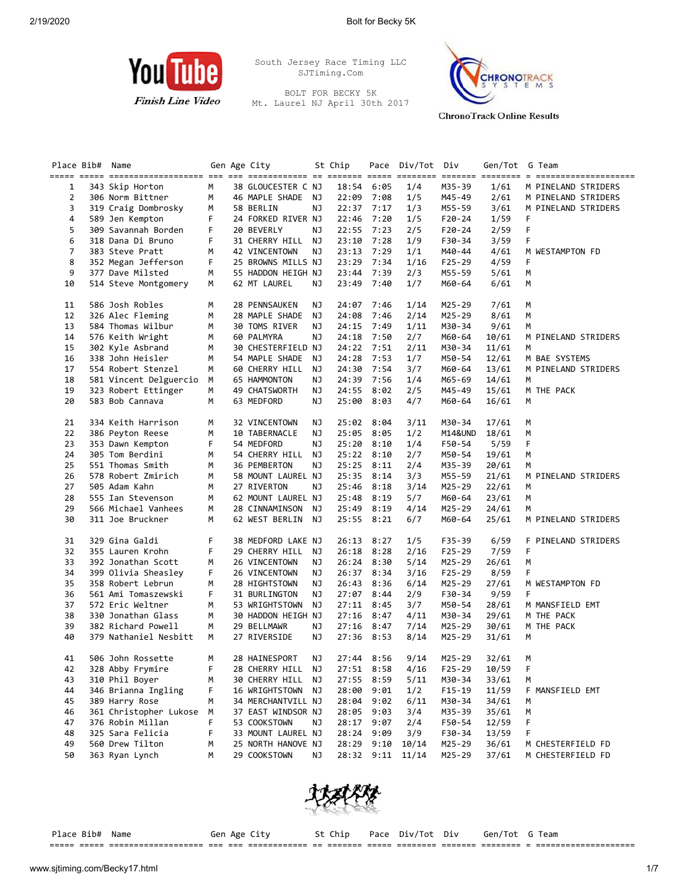

South Jersey Race Timing LLC SJTiming.Com

BOLT FOR BECKY 5K Mt. Laurel NJ April 30th 2017

===== ===== =================== === === ============ == ======= ===== ======== ======= ======== = ==================== 1 343 Skip Horton M 38 GLOUCESTER C NJ 18:54 6:05 1/4 M35-39 1/61 M PINELAND STRIDERS 2 306 Norm Bittner M 46 MAPLE SHADE NJ 22:09 7:08 1/5 M45-49 2/61 M PINELAND STRIDERS

Place Bib# Name 6en Age City 5t Chip Pace Div/Tot Div Gen/Tot G Team

3 319 Craig Dombrosky M 58 BERLIN NJ 22:37 7:17 1/3 M55-59 3/61



 4 589 Jen Kempton F 24 FORKED RIVER NJ 22:46 7:20 1/5 F20-24 1/59 F 5 309 Savannah Borden F 20 BEVERLY NJ 22:55 7:23 2/5 F20-24 2/59 F 6 318 Dana Di Bruno F 31 CHERRY HILL NJ 23:10 7:28 1/9 F30-34 3/59 F 7 383 Steve Pratt M 42 VINCENTOWN NJ 23:13 7:29 1/1 M40-44 4/61 M WESTAMPTON FD 8 352 Megan Jefferson F 25 BROWNS MILLS NJ 23:29 7:34 1/16 F25-29 4/59 F 9 377 Dave Milsted M 55 HADDON HEIGH NJ 23:44 7:39 2/3 M55-59 5/61 M 10 514 Steve Montgomery M 62 MT LAUREL NJ 11 586 Josh Robles M 28 PENNSAUKEN NJ 24:07 7:46 1/14 M25-29 7/61 M 12 326 Alec Fleming M 28 MAPLE SHADE NJ 24:08 7:46 2/14 M25-29 8/61 M 13 584 Thomas Wilbur M 30 TOMS RIVER NJ 24:15 7:49 1/11 M30-34 9/61 M 14 576 Keith Wright M 60 PALMYRA NJ 24:18 7:50 2/7 M60-64 10/61 M PINELAND STRIDERS 15 302 Kyle Asbrand M 30 CHESTERFIELD NJ 24:22 7:51 2/11 M30-34 11/61 M 16 338 John Heisler M 54 MAPLE SHADE NJ 24:28 7:53 1/7 M50-54 12/61 M BAE SYSTEMS 17 554 Robert Stenzel M 60 CHERRY HILL NJ 24:30 7:54 3/7 M60-64 13/61 M PINELAND STRIDERS 18 581 Vincent Delguercio M 65 HAMMONTON NJ 24:39 7:56 1/4 M65-69 14/61 M 19 323 Robert Ettinger M 49 CHATSWORTH NJ<br>20 583 Bob Cannava M 63 MEDFORD NJ 20 583 Bob Cannava M 63 MEDFORD NJ 25:00 8:03 4/7 M60-64 16/61 M 21 334 Keith Harrison M 32 VINCENTOWN NJ 25:02 8:04 3/11 M30-34 17/61 M 22 386 Peyton Reese M 10 TABERNACLE NJ 25:05 8:05 1/2 M14&UND 18/61 M 23 353 Dawn Kempton F 54 MEDFORD NJ 25:20 8:10 1/4 F50-54 5/59 F 24 305 Tom Berdini M 54 CHERRY HILL NJ 25:22 8:10 2/7 M50-54 19/61 M 25 551 Thomas Smith M 36 PEMBERTON NJ 25:25 8:11 2/4 M35-39 20/61 M 26 578 Robert Zmirich M 58 MOUNT LAUREL NJ 25:35 8:14 3/3 M55-59 21/61 M PINELAND STRIDERS 27 505 Adam Kahn M 27 RIVERTON NJ 25:46 8:18 3/14 M25-29 22/61 M 28 555 Ian Stevenson M 62 MOUNT LAUREL NJ 25:48 8:19 5/7 M60-64 23/61 M 29 566 Michael Vanhees M 28 CINNAMINSON NJ 25:49 8:19 4/14 M25-29 24/61 M 30 311 Joe Bruckner M 62 WEST BERLIN NJ 25:55 8:21 6/7 M60-64 25/61 M PINELAND STRIDERS 31 329 Gina Galdi F 38 MEDFORD LAKE NJ 26:13 8:27 1/5 F35-39 6/59 F PINELAND STRIDERS 32 355 Lauren Krohn F 29 CHERRY HILL NJ 26:18 8:28 2/16 F25-29 7/59 F 33 392 Jonathan Scott M 26 VINCENTOWN NJ 26:24 8:30 5/14 M25-29 26/61 M 34 399 Olivia Sheasley F 26 VINCENTOWN NJ 26:37 8:34 3/16 F25-29 8/59 F 35 358 Robert Lebrun M 28 HIGHTSTOWN NJ 26:43 8:36 6/14 M25-29 27/61 M WESTAMPTON FD 36 561 Ami Tomaszewski F 31 BURLINGTON NJ 27:07 8:44 2/9 F30-34 9/59 F 37 572 Eric Weltner M 53 WRIGHTSTOWN NJ 27:11 8:45 3/7 M50-54 28/61 M MANSFIELD EMT 38 330 Jonathan Glass M 30 HADDON HEIGH NJ 27:16 8:47 4/11 M30-34 29/61 M THE PACK 39 382 Richard Powell M 29 BELLMAWR NJ 27:16 8:47 7/14 M25-29 30/61 M THE PACK 40 379 Nathaniel Nesbitt M 27 RIVERSIDE NJ 27:36 8:53 8/14 M25-29 31/61 M 41 506 John Rossette M 28 HAINESPORT NJ 27:44 8:56 9/14 M25-29 32/61 M 42 328 Abby Frymire F 28 CHERRY HILL NJ 27:51 8:58 4/16 F25-29 10/59 F 43 30 CHERRY HILL NJ 27:55 8:59 5/11 M30-34 33/61 M<br>16 WRIGHTSTOWN NJ 28:00 9:01 1/2 F15-19 11/59 F 44 346 Brianna Ingling F 16 WRIGHTSTOWN NJ 28:00 9:01 1/2 F15-19 11/59 F MANSFIELD EMT 45 389 Harry Rose M 34 MERCHANTVILL NJ 28:04 9:02 6/11 M30-34 34/61 M 46 361 Christopher Lukose M 37 EAST WINDSOR NJ 28:05 9:03 3/4 M35-39 35/61 M 47 376 Robin Millan F 53 COOKSTOWN NJ 28:17 9:07 2/4 F50-54 12/59 F 48 325 Sara Felicia F 33 MOUNT LAUREL NJ 28:24 9:09 3/9 F30-34 13/59 F 49 560 Drew Tilton M 25 NORTH HANOVE NJ 28:29 9:10 10/14 M25-29 36/61 M CHESTERFIELD FD



50 363 Ryan Lynch M 29 COOKSTOWN NJ 28:32 9:11 11/14 M25-29 37/61 M CHESTERFIELD FD

Place Bib# Name 6en Age City 5t Chip Pace Div/Tot Div Gen/Tot G Team ===== ===== =================== === === ============ == ======= ===== ======== ======= ======== = ====================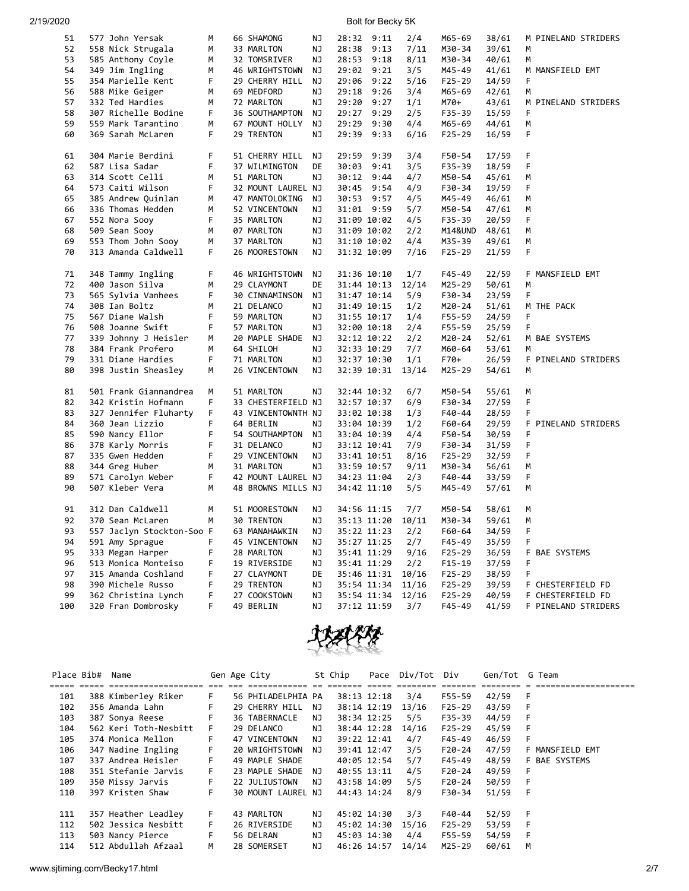| 2/19/2020 |  |  |  |
|-----------|--|--|--|
|           |  |  |  |
|           |  |  |  |

Bolt for Becky 5K

| 51  | 577 John Yersak           | М       | 66 SHAMONG         | ΝJ        | 28:32       | 9:11 | 2/4   | M65-69     | 38/61 | M PINELAND STRIDERS  |
|-----|---------------------------|---------|--------------------|-----------|-------------|------|-------|------------|-------|----------------------|
| 52  | 558 Nick Strugala         | M       | 33 MARLTON         | ΝJ        | 28:38       | 9:13 | 7/11  | M30-34     | 39/61 | M                    |
| 53  | 585 Anthony Coyle         | М       | 32 TOMSRIVER       | ΝJ        | 28:53       | 9:18 | 8/11  | M30-34     | 40/61 | M                    |
| 54  |                           | м       |                    | ΝJ        | 29:02       |      | 3/5   | M45-49     |       |                      |
| 55  | 349 Jim Ingling           | F.      | 46 WRIGHTSTOWN     |           |             | 9:21 |       |            | 41/61 | M MANSFIELD EMT<br>F |
|     | 354 Marielle Kent         |         | 29 CHERRY HILL     | ΝJ        | 29:06       | 9:22 | 5/16  | $F25 - 29$ | 14/59 |                      |
| 56  | 588 Mike Geiger           | M       | 69 MEDFORD         | ΝJ        | 29:18       | 9:26 | 3/4   | M65-69     | 42/61 | M                    |
| 57  | 332 Ted Hardies           | М       | 72 MARLTON         | ΝJ        | 29:20       | 9:27 | 1/1   | M70+       | 43/61 | M PINELAND STRIDERS  |
| 58  | 307 Richelle Bodine       | F.      | 36 SOUTHAMPTON     | ΝJ        | 29:27       | 9:29 | 2/5   | F35-39     | 15/59 | F                    |
| 59  | 559 Mark Tarantino        | M       | 67 MOUNT HOLLY     | <b>NJ</b> | 29:29       | 9:30 | 4/4   | M65-69     | 44/61 | M                    |
| 60  | 369 Sarah McLaren         | F       | 29 TRENTON         | ΝJ        | 29:39 9:33  |      | 6/16  | $F25 - 29$ | 16/59 | F                    |
| 61  | 304 Marie Berdini         | F       | 51 CHERRY HILL     | ΝJ        | 29:59       | 9:39 | 3/4   | F50-54     | 17/59 | F                    |
| 62  | 587 Lisa Sadar            | F.      | 37 WILMINGTON      | DE        | 30:03       | 9:41 | 3/5   | F35-39     | 18/59 | F                    |
| 63  | 314 Scott Celli           | м       | 51 MARLTON         | <b>NJ</b> | 30:12       | 9:44 | 4/7   | M50-54     | 45/61 | М                    |
| 64  | 573 Caiti Wilson          | F       | 32 MOUNT LAUREL NJ |           | 30:45       | 9:54 | 4/9   | F30-34     | 19/59 | F                    |
| 65  | 385 Andrew Quinlan        | М       | 47 MANTOLOKING     | ΝJ        | 30:53       | 9:57 | 4/5   | M45-49     | 46/61 | М                    |
| 66  | 336 Thomas Hedden         | M       | 52 VINCENTOWN      | ΝJ        | 31:01       | 9:59 | 5/7   | M50-54     | 47/61 | M                    |
| 67  | 552 Nora Sooy             | F       | 35 MARLTON         | ΝJ        | 31:09 10:02 |      | 4/5   | F35-39     | 20/59 | F                    |
| 68  | 509 Sean Sooy             | M       | 07 MARLTON         | ΝJ        | 31:09 10:02 |      | 2/2   | M14&UND    | 48/61 | Μ                    |
| 69  |                           |         |                    |           |             |      |       |            |       |                      |
| 70  | 553 Thom John Sooy        | М<br>F. | 37 MARLTON         | ΝJ        | 31:10 10:02 |      | 4/4   | M35-39     | 49/61 | М<br>F               |
|     | 313 Amanda Caldwell       |         | 26 MOORESTOWN      | ΝJ        | 31:32 10:09 |      | 7/16  | $F25 - 29$ | 21/59 |                      |
| 71  | 348 Tammy Ingling         | F.      | 46 WRIGHTSTOWN     | ΝJ        | 31:36 10:10 |      | 1/7   | F45-49     | 22/59 | F MANSFIELD EMT      |
| 72  | 400 Jason Silva           | М       | 29 CLAYMONT        | DE        | 31:44 10:13 |      | 12/14 | M25-29     | 50/61 | M                    |
| 73  | 565 Sylvia Vanhees        | F.      | 30 CINNAMINSON     | <b>NJ</b> | 31:47 10:14 |      | 5/9   | F30-34     | 23/59 | F                    |
| 74  | 308 Ian Boltz             | М       | 21 DELANCO         | ΝJ        | 31:49 10:15 |      | 1/2   | M20-24     | 51/61 | M THE PACK           |
| 75  | 567 Diane Walsh           | F.      | 59 MARLTON         | ΝJ        | 31:55 10:17 |      | 1/4   | F55-59     | 24/59 | F                    |
| 76  | 508 Joanne Swift          | F       | 57 MARLTON         | ΝJ        | 32:00 10:18 |      | 2/4   | F55-59     | 25/59 | F                    |
| 77  | 339 Johnny J Heisler      | М       | 20 MAPLE SHADE     | ΝJ        | 32:12 10:22 |      | 2/2   | M20-24     | 52/61 | M BAE SYSTEMS        |
| 78  | 384 Frank Profero         | м       | 64 SHILOH          | ΝJ        | 32:33 10:29 |      | 7/7   | M60-64     | 53/61 | М                    |
| 79  | 331 Diane Hardies         | F       | 71 MARLTON         | ΝJ        | 32:37 10:30 |      | 1/1   | $F70+$     | 26/59 | F PINELAND STRIDERS  |
| 80  | 398 Justin Sheasley       | M       | 26 VINCENTOWN      | ΝJ        | 32:39 10:31 |      | 13/14 | M25-29     | 54/61 | M                    |
|     |                           |         |                    |           |             |      |       |            |       |                      |
| 81  | 501 Frank Giannandrea     | М       | 51 MARLTON         | ΝJ        | 32:44 10:32 |      | 6/7   | M50-54     | 55/61 | М                    |
| 82  | 342 Kristin Hofmann       | F       | 33 CHESTERFIELD NJ |           | 32:57 10:37 |      | 6/9   | F30-34     | 27/59 | F                    |
| 83  | 327 Jennifer Fluharty     | F       | 43 VINCENTOWNTH NJ |           | 33:02 10:38 |      | 1/3   | F40-44     | 28/59 | F                    |
| 84  | 360 Jean Lizzio           | F       | 64 BERLIN          | ΝJ        | 33:04 10:39 |      | 1/2   | F60-64     | 29/59 | F PINELAND STRIDERS  |
| 85  | 590 Nancy Ellor           | F       | 54 SOUTHAMPTON     | ΝJ        | 33:04 10:39 |      | 4/4   | F50-54     | 30/59 | F                    |
| 86  | 378 Karly Morris          | F.      | 31 DELANCO         | <b>NJ</b> | 33:12 10:41 |      | 7/9   | F30-34     | 31/59 | F                    |
| 87  | 335 Gwen Hedden           | F       | 29 VINCENTOWN      | ΝJ        | 33:41 10:51 |      | 8/16  | $F25 - 29$ | 32/59 | F                    |
| 88  | 344 Greg Huber            | М       | 31 MARLTON         | ΝJ        | 33:59 10:57 |      | 9/11  | M30-34     | 56/61 | M                    |
| 89  | 571 Carolyn Weber         | F.      | 42 MOUNT LAUREL NJ |           | 34:23 11:04 |      | 2/3   | $F40 - 44$ | 33/59 | F                    |
| 90  | 507 Kleber Vera           | M       | 48 BROWNS MILLS NJ |           | 34:42 11:10 |      | 5/5   | M45-49     | 57/61 | M                    |
|     |                           |         |                    |           |             |      |       |            |       |                      |
| 91  | 312 Dan Caldwell          | м       | 51 MOORESTOWN      | ΝJ        | 34:56 11:15 |      | 7/7   | M50-54     | 58/61 | М                    |
| 92  | 370 Sean McLaren          | м       | 30 TRENTON         | ΝJ        | 35:13 11:20 |      | 10/11 | M30-34     | 59/61 | М                    |
| 93  | 557 Jaclyn Stockton-Soo F |         | 63 MANAHAWKIN      | ΝJ        | 35:22 11:23 |      | 2/2   | F60-64     | 34/59 | F                    |
| 94  | 591 Amy Sprague           | F.      | 45 VINCENTOWN      | ΝJ        | 35:27 11:25 |      | 2/7   | F45-49     | 35/59 | F                    |
| 95  | 333 Megan Harper          | F       | 28 MARLTON         | ΝJ        | 35:41 11:29 |      | 9/16  | $F25-29$   | 36/59 | F BAE SYSTEMS        |
| 96  | 513 Monica Monteiso       | F       | 19 RIVERSIDE       | ΝJ        | 35:41 11:29 |      | 2/2   | F15-19     | 37/59 | F                    |
| 97  | 315 Amanda Coshland       | F.      | 27 CLAYMONT        | DE        | 35:46 11:31 |      | 10/16 | $F25-29$   | 38/59 | F                    |
| 98  | 390 Michele Russo         | F       | 29 TRENTON         | ΝJ        | 35:54 11:34 |      | 11/16 | $F25-29$   | 39/59 | F CHESTERFIELD FD    |
| 99  | 362 Christina Lynch       | F       | 27 COOKSTOWN       | ΝJ        | 35:54 11:34 |      | 12/16 | $F25 - 29$ | 40/59 | F CHESTERFIELD FD    |
| 100 | 320 Fran Dombrosky        | F.      | 49 BERLIN          | <b>NJ</b> | 37:12 11:59 |      | 3/7   | F45-49     | 41/59 | F PINELAND STRIDERS  |



| Place Bib# | Name                                                                                                            |    | Gen Age City       |    | St Chip     |             | Pace Div/Tot Div  |          | Gen/Tot G Team |     |                 |
|------------|-----------------------------------------------------------------------------------------------------------------|----|--------------------|----|-------------|-------------|-------------------|----------|----------------|-----|-----------------|
|            | score conce concercoracerence con son executarence en concerc conce concerc concerc concerce o concercoracerenc |    |                    |    |             |             |                   |          |                |     |                 |
| 101        | 388 Kimberley Riker                                                                                             | F. | 56 PHILADELPHIA PA |    |             | 38:13 12:18 | 3/4               | F55-59   | 42/59          | - F |                 |
| 102        | 356 Amanda Lahn                                                                                                 | F. | 29 CHERRY HILL     | NJ |             |             | 38:14 12:19 13/16 | F25-29   | 43/59          | F   |                 |
| 103        | 387 Sonya Reese                                                                                                 | F. | 36 TABERNACLE      | NJ |             | 38:34 12:25 | 5/5               | F35-39   | 44/59          | - F |                 |
| 104        | 562 Keri Toth-Nesbitt                                                                                           | F. | 29 DELANCO         | NJ |             | 38:44 12:28 | 14/16             | F25-29   | 45/59          | F   |                 |
| 105        | 374 Monica Mellon                                                                                               | F. | 47 VINCENTOWN      | ΝJ |             | 39:22 12:41 | 4/7               | F45-49   | 46/59          | F.  |                 |
| 106        | 347 Nadine Ingling                                                                                              | F. | 20 WRIGHTSTOWN     | NJ |             | 39:41 12:47 | 3/5               | $F20-24$ | 47/59          |     | F MANSFIELD EMT |
| 107        | 337 Andrea Heisler                                                                                              | F. | 49 MAPLE SHADE     |    |             | 40:05 12:54 | 5/7               | F45-49   | 48/59          |     | F BAE SYSTEMS   |
| 108        | 351 Stefanie Jarvis                                                                                             | F. | 23 MAPLE SHADE     | NJ |             | 40:55 13:11 | 4/5               | $F20-24$ | 49/59          | F.  |                 |
| 109        | 350 Missy Jarvis                                                                                                | F  | 22 JULIUSTOWN      | NJ |             | 43:58 14:09 | 5/5               | F20-24   | 50/59          | -F  |                 |
| 110        | 397 Kristen Shaw                                                                                                | F. | 30 MOUNT LAUREL NJ |    | 44:43 14:24 |             | 8/9               | F30-34   | 51/59          | -F  |                 |
|            |                                                                                                                 |    |                    |    |             |             |                   |          |                |     |                 |
| 111        | 357 Heather Leadley                                                                                             | F. | 43 MARLTON         | ΝJ |             | 45:02 14:30 | 3/3               | F40-44   | 52/59          | - F |                 |
| 112        | 502 Jessica Nesbitt                                                                                             | F. | 26 RIVERSIDE       | NJ |             | 45:02 14:30 | 15/16             | $F25-29$ | 53/59          | - F |                 |
| 113        | 503 Nancy Pierce                                                                                                | F. | 56 DELRAN          | ΝJ |             | 45:03 14:30 | 4/4               | F55-59   | 54/59          | -F  |                 |
| 114        | 512 Abdullah Afzaal                                                                                             | M  | 28 SOMERSET        | NJ |             |             | 46:26 14:57 14/14 | M25-29   | 60/61          | M   |                 |

www.sjtiming.com/Becky17.html 2/7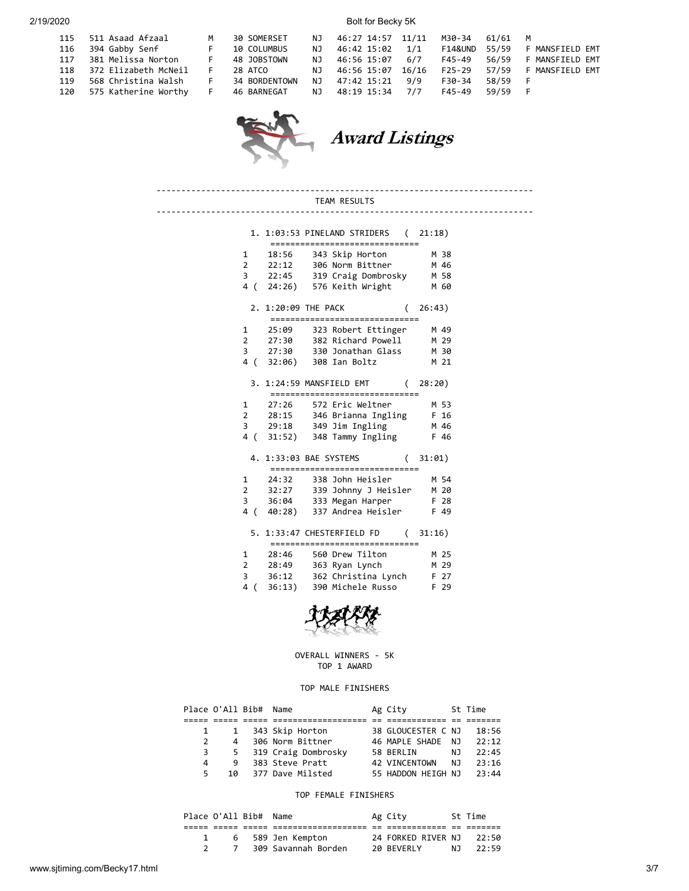115 511 Asaad Afzaa 116 394 Gabby Senf 117 381 Melissa Nor  $118$  372 Elizabeth M  $119$  568 Christina Wa

120 575 Katherine W

2/19/2020 Bolt for Becky 5K

| $\mathbf{1}$ | M  | 30 SOMERSET NJ 46:27 14:57 11/11 M30-34 61/61 M       |  |  |         |                                                                 |
|--------------|----|-------------------------------------------------------|--|--|---------|-----------------------------------------------------------------|
|              | F. | 10 COLUMBUS                                           |  |  |         | NJ 46:42 15:02    1/1    F14&UND    55/59    F    MANSFIELD EMT |
|              |    |                                                       |  |  |         |                                                                 |
| cNeil        |    | F 28 ATCO                                             |  |  |         |                                                                 |
|              |    |                                                       |  |  | 58/59 F |                                                                 |
|              |    | orthy F 46.BARNEGAT NJ 48:19.15:34 7/7 F45-49 59/59 F |  |  |         |                                                                 |
|              |    |                                                       |  |  |         |                                                                 |



**Award Listings** 

TEAM RESULTS ---------------------------------------------------------------------------- 1. 1:03:53 PINELAND STRIDERS ( 21:18) ============================== 1 18:56 343 Skip Horton M 38 2 22:12 306 Norm Bittner M 46 22:45 319 Craig Dombrosky<br>3 22:45 319 Craig Dombrosky M 58<br>4 ( 24:26) 576 Keith Wright M 60  $4$  ( 24:26) 576 Keith Wright 2. 1:20:09 THE PACK ( 26:43) ============================== 1 25:09 323 Robert Ettinger M 49 2 27:30 382 Richard Powell M 29<br>3 27:30 330 Jonathan Glass M 30 330 Jonathan Glass M 30<br>308 Ian Boltz M 21 4 ( 32:06) 308 Ian Boltz M 21 3. 1:24:59 MANSFIELD EMT ( 28:20) ============================== 1 27:26 572 Eric Weltner M 53 2 28:15 346 Brianna Ingling F 16 3 29:18 349 Jim Ingling M 46 4 ( 31:52) 348 Tammy Ingling F 46 4. 1:33:03 BAE SYSTEMS ( 31:01) ============================== 1 24:32 338 John Heisler M 54 2 32:27 339 Johnny J Heisler M 20 3 36:04 333 Megan Harper F 28 4 ( 40:28) 337 Andrea Heisler F 49

----------------------------------------------------------------------------

#### 5. 1:33:47 CHESTERFIELD FD ( 31:16) ============================== 1 28:46 560 Drew Tilton M 25<br>2 28:49 363 Ryan Lynch M 29<br>2 26:48 268 Ryan Lytch M 29 2 28:49 363 Ryan Lynch M 29 3 36:12 362 Christina Lynch F 27  $4$  (  $36:13$ )  $390$  Michele Russo



#### OVERALL WINNERS - 5K TOP 1 AWARD

#### TOP MALE FINISHERS

|               | Place O'All Bib# | Name                | Ag City            |       | St Time |
|---------------|------------------|---------------------|--------------------|-------|---------|
|               |                  |                     |                    |       |         |
|               |                  | 1 343 Skip Horton   | 38 GLOUCESTER C NJ |       | 18:56   |
| $\mathcal{P}$ | 4                | 306 Norm Bittner    | 46 MAPLE SHADE     | - N J | 22:12   |
| 3             | 5                | 319 Craig Dombrosky | 58 BERLIN          | NJ.   | 22:45   |
| 4             | 9                | 383 Steve Pratt     | 42 VINCENTOWN      | N J   | 23:16   |
| 5.            | 10               | 377 Dave Milsted    | 55 HADDON HEIGH NJ |       | 23:44   |

#### TOP FEMALE FINISHERS

| Place O'All Bib# Name |                     | Ag City                  | St Time  |
|-----------------------|---------------------|--------------------------|----------|
|                       |                     |                          |          |
|                       | 6 589 Jen Kempton   | 24 FORKED RIVER NJ 22:50 |          |
|                       | 309 Savannah Borden | 20 BEVERLY               | NJ 22:59 |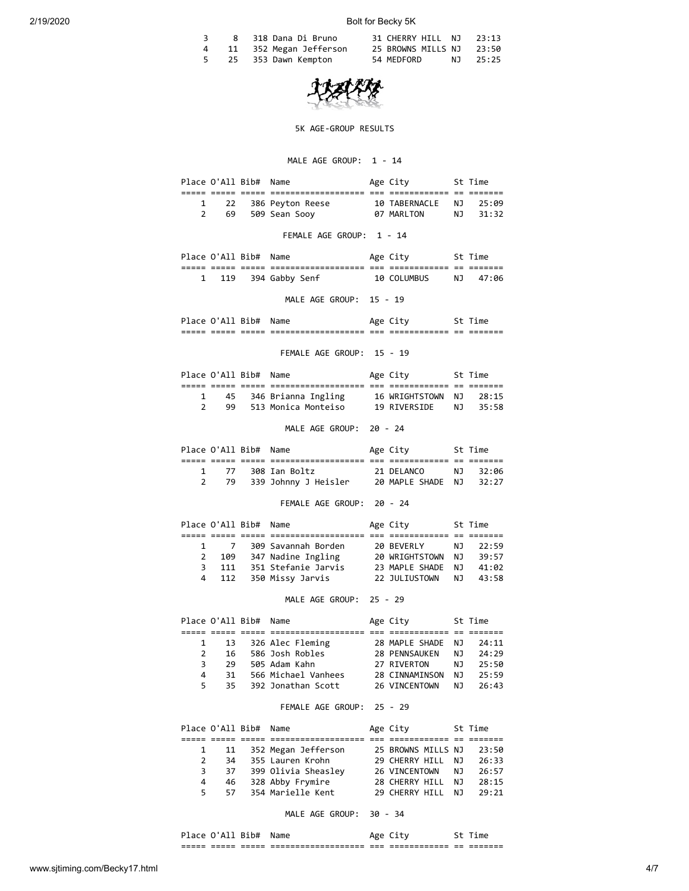# 2/19/2020 Bolt for Becky 5K

|   | 8 318 Dana Di Bruno    | 31 CHERRY HILL NJ 23:13  |          |
|---|------------------------|--------------------------|----------|
| 4 | 11 352 Megan Jefferson | 25 BROWNS MILLS NJ 23:50 |          |
|   | 25 353 Dawn Kempton    | 54 MEDFORD               | NJ 25:25 |



#### 5K AGE-GROUP RESULTS

# MALE AGE GROUP: 1 - 14

|                                |                                                   | Place O'All Bib# Name | Age City                                                                                               | St Time                         |          |                      |
|--------------------------------|---------------------------------------------------|-----------------------|--------------------------------------------------------------------------------------------------------|---------------------------------|----------|----------------------|
| $\mathbf{1}$<br>$\overline{2}$ | 22<br>69                                          |                       | 386 Peyton Reese 10 TABERNACLE NJ 25:09<br>509 Sean Sooy                                               | 07 MARLTON NJ                   |          | 31:32                |
|                                |                                                   |                       | FEMALE AGE GROUP: 1 - 14                                                                               |                                 |          |                      |
|                                |                                                   | Place O'All Bib# Name |                                                                                                        | Age City 5t Time                |          |                      |
|                                |                                                   |                       | 1 119 394 Gabby Senf                                                                                   | 10 COLUMBUS                     |          | NJ 47:06             |
|                                |                                                   |                       | MALE AGE GROUP: 15 - 19                                                                                |                                 |          |                      |
|                                |                                                   | Place O'All Bib# Name |                                                                                                        | Age City<br>St Time             |          |                      |
|                                |                                                   |                       | FEMALE AGE GROUP: 15 - 19                                                                              |                                 |          |                      |
|                                |                                                   | Place O'All Bib# Name |                                                                                                        | Age City                        |          | St Time              |
|                                |                                                   |                       |                                                                                                        |                                 |          |                      |
|                                | $1 \quad$<br>$\overline{2}$                       |                       | 45 346 Brianna Ingling 16 WRIGHTSTOWN NJ 28:15<br>99 513 Monica Monteiso 19 RIVERSIDE NJ 35:58         |                                 |          |                      |
|                                |                                                   |                       | MALE AGE GROUP: 20 - 24                                                                                |                                 |          |                      |
|                                |                                                   |                       | Place O'All Bib# Name                                                                                  | Age City 5t Time                |          |                      |
|                                | $1 \quad \blacksquare$                            |                       |                                                                                                        |                                 |          |                      |
| $\mathbf{2}$                   |                                                   |                       |                                                                                                        |                                 |          |                      |
|                                |                                                   |                       | FEMALE AGE GROUP: 20 - 24                                                                              |                                 |          |                      |
|                                |                                                   |                       | Place O'All Bib# Name                                                                                  | Age City                        |          | St Time              |
|                                |                                                   |                       |                                                                                                        |                                 |          |                      |
|                                | $\begin{array}{ccc} 1 & 7 \\ 2 & 109 \end{array}$ |                       | 309 Savannah Borden         20 BEVERLY<br>347 Nadine Ingling          20 WRIGHTSTOWN                   |                                 |          | NJ 22:59<br>NJ 39:57 |
|                                | 3 <sup>7</sup><br>111                             |                       | 351 Stefanie Jarvis 23 MAPLE SHADE                                                                     |                                 |          | NJ 41:02             |
| 4                              | 112                                               |                       | 350 Missy Jarvis 22 JULIUSTOWN                                                                         |                                 |          | NJ 43:58             |
|                                |                                                   |                       | MALE AGE GROUP: 25 - 29                                                                                |                                 |          |                      |
|                                |                                                   | Place O'All Bib# Name |                                                                                                        | Age City                        |          | St Time              |
| $\mathbf{1}$                   | 13                                                |                       |                                                                                                        |                                 |          | NJ 24:11             |
| $\mathbf{2}$                   |                                                   |                       |                                                                                                        |                                 |          | NJ 24:29<br>NJ 25:50 |
| 3                              |                                                   |                       | 13 326 Alec Fleming 28 MAPLE SHADE<br>16 586 Josh Robles 28 PENNSAUKEN<br>29 505 Adam Kahn 27 RIVERTON |                                 |          |                      |
| 4                              | $31\,$                                            |                       | 566 Michael Vanhees                                                                                    | 28 CINNAMINSON                  | ΝJ       | 25:59                |
| 5                              | 35                                                |                       | 392 Jonathan Scott                                                                                     | 26 VINCENTOWN                   | ΝJ       | 26:43                |
|                                |                                                   |                       | FEMALE AGE GROUP:                                                                                      | 25 - 29                         |          |                      |
|                                | Place O'All Bib#                                  |                       | Name                                                                                                   | Age City                        |          | St Time              |
|                                |                                                   |                       |                                                                                                        |                                 |          |                      |
| 1<br>$\overline{2}$            | 11                                                |                       | 352 Megan Jefferson<br>355 Lauren Krohn                                                                | 25 BROWNS MILLS NJ              |          | 23:50                |
| 3                              | 34<br>37                                          |                       | 399 Olivia Sheasley                                                                                    | 29 CHERRY HILL<br>26 VINCENTOWN | ΝJ<br>ΝJ | 26:33<br>26:57       |
| 4                              | 46                                                |                       | 328 Abby Frymire                                                                                       | 28 CHERRY HILL                  | ΝJ       | 28:15                |
|                                |                                                   |                       |                                                                                                        |                                 |          |                      |

MALE AGE GROUP: 30 - 34

5 57 354 Marielle Kent 29 CHERRY HILL NJ 29:21

Place O'All Bib# Name Age City St Time ===== ===== ===== =================== === ============ == =======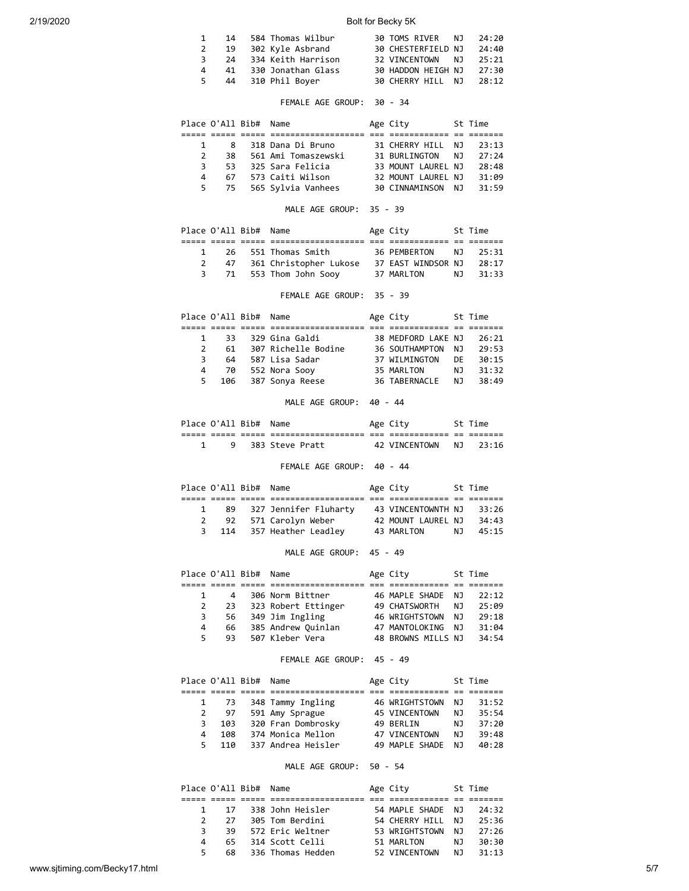# 2/19/2020 Bolt for Becky 5K

| 1.           | 14  | 584 Thomas Wilbur  | 30 TOMS RIVER NJ   | 24:20 |
|--------------|-----|--------------------|--------------------|-------|
| 2            | 19  | 302 Kyle Asbrand   | 30 CHESTERFIELD NJ | 24:40 |
| $\mathbf{R}$ | -24 | 334 Keith Harrison | 32 VINCENTOWN NJ   | 25:21 |
| 4            | 41  | 330 Jonathan Glass | 30 HADDON HEIGH NJ | 27:30 |
| 5.           | 44  | 310 Phil Boyer     | 30 CHERRY HILL NJ  | 28:12 |

# FEMALE AGE GROUP: 30 - 34

|               | Place O'All Bib# Name |                     | Age City           | St Time |
|---------------|-----------------------|---------------------|--------------------|---------|
|               |                       |                     |                    |         |
| $\mathbf{1}$  | 8                     | 318 Dana Di Bruno   | 31 CHERRY HILL NJ  | 23:13   |
| $\mathcal{P}$ | 38                    | 561 Ami Tomaszewski | 31 BURLINGTON NJ   | 27:24   |
| 3.            | 53.                   | 325 Sara Felicia    | 33 MOUNT LAUREL NJ | 28:48   |
| 4             | 67                    | 573 Caiti Wilson    | 32 MOUNT LAUREL NJ | 31:09   |
| 5.            | 75                    | 565 Sylvia Vanhees  | 30 CINNAMINSON NJ  | 31:59   |

# MALE AGE GROUP: 35 - 39

|              |    | Place O'All Bib# Name |                        | Age City              | St Time  |
|--------------|----|-----------------------|------------------------|-----------------------|----------|
|              |    |                       |                        |                       |          |
| $\mathbf{1}$ |    |                       | 26 551 Thomas Smith    | 36 PEMBERTON NJ 25:31 |          |
|              | 47 |                       | 361 Christopher Lukose | 37 EAST WINDSOR NJ    | 28:17    |
|              |    |                       | 71 553 Thom John Sooy  | 37 MARLTON            | NT 31:33 |
|              |    |                       |                        |                       |          |

# FEMALE AGE GROUP: 35 - 39

|               |     | Place O'All Bib# Name |                     | Age City           |     | St Time |
|---------------|-----|-----------------------|---------------------|--------------------|-----|---------|
|               |     |                       |                     |                    |     |         |
| $\mathbf{1}$  | 33. |                       | 329 Gina Galdi      | 38 MEDFORD LAKE NJ |     | 26:21   |
| $\mathcal{P}$ | 61  |                       | 307 Richelle Bodine | 36 SOUTHAMPTON     | N J | 29:53   |
| 3             | 64  |                       | 587 Lisa Sadar      | 37 WILMINGTON      | DF. | 30:15   |
| 4             | 70  |                       | 552 Nora Sooy       | 35 MARLTON         | N J | 31:32   |
| 5.            | 106 |                       | 387 Sonya Reese     | 36 TABERNACLE      | N J | 38:49   |

# MALE AGE GROUP: 40 - 44

|               | Place O'All Bib# |       | Name                                  |            | Age City                   |            | ime     |  |
|---------------|------------------|-------|---------------------------------------|------------|----------------------------|------------|---------|--|
| ----<br>_____ | ----<br>_____    | _____ | -----------------<br>________________ | ---<br>--- | __________<br>____________ | $-$<br>$-$ | _______ |  |
|               |                  |       | 383 Steve Pratt                       |            | VTNCFNTOWN                 | NJ.        |         |  |

#### FEMALE AGE GROUP: 40 - 44

|   | Place O'All Bib# Name |                       | Age City           |     | St Time |
|---|-----------------------|-----------------------|--------------------|-----|---------|
|   |                       |                       |                    |     |         |
|   | 89                    | 327 Jennifer Fluharty | 43 VINCENTOWNTH NJ |     | 33:26   |
|   | 92                    | 571 Carolyn Weber     | 42 MOUNT LAUREL NJ |     | 34:43   |
| 3 | 114                   | 357 Heather Leadley   | 43 MARLTON         | N J | 45:15   |

# MALE AGE GROUP: 45 - 49

|              |    | Place O'All Bib# Name |                     | Age City           |     | St Time |
|--------------|----|-----------------------|---------------------|--------------------|-----|---------|
|              |    |                       |                     |                    |     |         |
| $\mathbf{1}$ | 4  |                       | 306 Norm Bittner    | 46 MAPLE SHADE NJ  |     | 22:12   |
|              | 23 |                       | 323 Robert Ettinger | 49 CHATSWORTH      | NJ  | 25:09   |
| 3            | 56 |                       | 349 Jim Ingling     | 46 WRIGHTSTOWN     | N J | 29:18   |
| 4            | 66 |                       | 385 Andrew Quinlan  | 47 MANTOLOKING     | N J | 31:04   |
| 5.           | 93 |                       | 507 Kleber Vera     | 48 BROWNS MILLS NJ |     | 34:54   |

#### FEMALE AGE GROUP: 45 - 49

|    | Place O'All Bib# | Name               | Age City             |     | St Time |
|----|------------------|--------------------|----------------------|-----|---------|
|    |                  |                    |                      |     |         |
|    | 1 73             | 348 Tammy Ingling  | 46 WRIGHTSTOWN       | NJ  | 31:52   |
|    | 97               | 591 Amy Sprague    | <b>45 VINCENTOWN</b> | NJ. | 35:54   |
| 3  | 103              | 320 Fran Dombrosky | 49 BERLIN            | NJ. | 37:20   |
| 4  | 108              | 374 Monica Mellon  | 47 VINCENTOWN        | NJ. | 39:48   |
| 5. | 110              | 337 Andrea Heisler | 49 MAPLE SHADE       | N J | 40:28   |

#### MALE AGE GROUP: 50 - 54

|               |     | Place O'All Bib# Name |                   | Age City          |     | St Time |
|---------------|-----|-----------------------|-------------------|-------------------|-----|---------|
|               |     |                       |                   |                   |     |         |
|               | -17 |                       | 338 John Heisler  | 54 MAPLE SHADE NJ |     | 24:32   |
| $\mathcal{P}$ | 27  |                       | 305 Tom Berdini   | 54 CHERRY HILL    | N J | 25:36   |
| 3             | 39  |                       | 572 Eric Weltner  | 53 WRIGHTSTOWN    | N J | 27:26   |
| 4             | 65  |                       | 314 Scott Celli   | 51 MARLTON        | N J | 30:30   |
| 5.            | 68. |                       | 336 Thomas Hedden | 52 VINCENTOWN     | N J | 31:13   |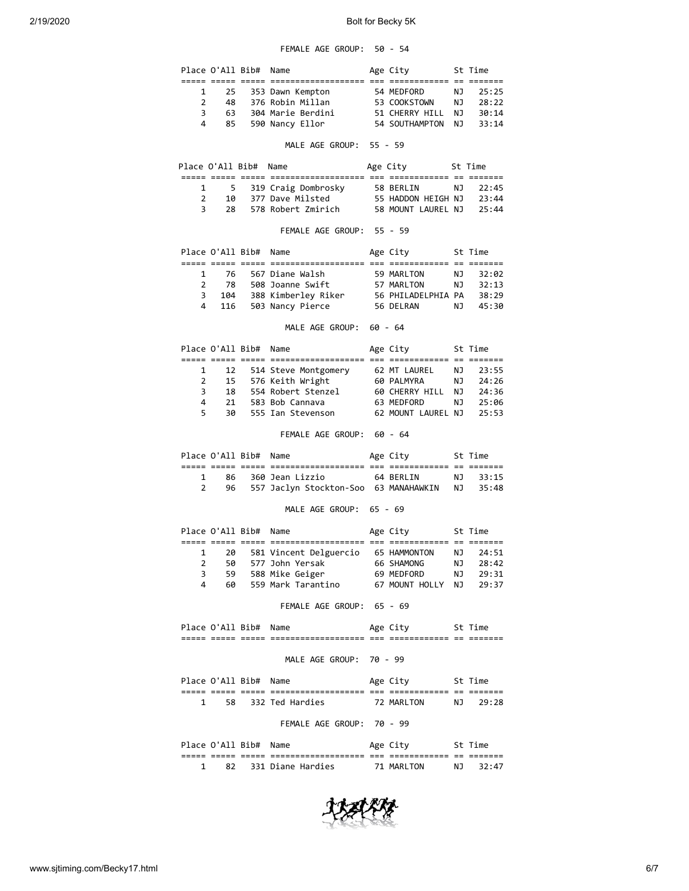# FEMALE AGE GROUP: 50 - 54

|   |    | Place O'All Bib# Name |                       | Age City          |     | St Time |
|---|----|-----------------------|-----------------------|-------------------|-----|---------|
|   |    |                       |                       |                   |     |         |
|   |    |                       | 1 25 353 Dawn Kempton | 54 MEDFORD        | NJ. | 25:25   |
|   | 48 |                       | 376 Robin Millan      | 53 COOKSTOWN      | N J | 28:22   |
| 3 | 63 |                       | 304 Marie Berdini     | 51 CHERRY HILL    | N J | 30:14   |
| 4 | 85 |                       | 590 Nancy Ellor       | 54 SOUTHAMPTON NJ |     | 33:14   |

#### MALE AGE GROUP: 55 - 59

| Place O'All Bib# Name |    |                       | Age City           |     | St Time |
|-----------------------|----|-----------------------|--------------------|-----|---------|
|                       |    |                       |                    |     |         |
|                       |    | 5 319 Craig Dombrosky | 58 BERLIN          | N J | 22:45   |
|                       | 1Q | 377 Dave Milsted      | 55 HADDON HEIGH NJ |     | 23:44   |
| 3                     | 28 | 578 Robert Zmirich    | 58 MOUNT LAUREL NJ |     | 25:44   |

# FEMALE AGE GROUP: 55 - 59

|               |       | Place O'All Bib# Name |                     | Age City           |     | St Time  |
|---------------|-------|-----------------------|---------------------|--------------------|-----|----------|
|               |       |                       |                     |                    |     |          |
| $\mathbf{1}$  |       |                       | 76 567 Diane Walsh  | 59 MARLTON         |     | NJ 32:02 |
| $\mathcal{P}$ | 78    |                       | 508 Joanne Swift    | 57 MARLTON         | NJ. | 32:13    |
| 3             | 104   |                       | 388 Kimberley Riker | 56 PHILADELPHIA PA |     | 38:29    |
|               | 4 116 |                       | 503 Nancy Pierce    | 56 DELRAN          | NJ. | 45:30    |

# MALE AGE GROUP: 60 - 64

|    | Place O'All Bib# Name |                           | Age City           |     | St Time |
|----|-----------------------|---------------------------|--------------------|-----|---------|
|    |                       |                           |                    |     |         |
|    |                       | 1 12 514 Steve Montgomery | 62 MT LAUREL       | NJ. | 23:55   |
|    |                       | 15 576 Keith Wright       | 60 PALMYRA         | NJ. | 24:26   |
| 3  | 18                    | 554 Robert Stenzel        | 60 CHERRY HILL     | N.  | 24:36   |
| 4  | 21                    | 583 Bob Cannava           | 63 MEDFORD         | NJ. | 25:06   |
| 5. | 30                    | 555 Ian Stevenson         | 62 MOUNT LAUREL NJ |     | 25:53   |

# FEMALE AGE GROUP: 60 - 64

| Place O'All Bib# Name |  |                                          | Age City  | St Time  |
|-----------------------|--|------------------------------------------|-----------|----------|
|                       |  |                                          |           |          |
|                       |  | 86 - 360 Jean Lizzio                     | 64 BERLIN | NJ 33:15 |
|                       |  | 96 557 Jaclyn Stockton-Soo 63 MANAHAWKIN |           | NJ 35:48 |

#### MALE AGE GROUP: 65 - 69

|               |    | Place O'All Bib# Name |                        | Age City       |     | St Time |
|---------------|----|-----------------------|------------------------|----------------|-----|---------|
|               |    |                       |                        |                |     |         |
|               | 20 |                       | 581 Vincent Delguercio | 65 HAMMONTON   | NJ. | 24:51   |
| $\mathcal{P}$ | 50 |                       | 577 John Yersak        | 66 SHAMONG     | N J | 28:42   |
| 3.            | 59 |                       | 588 Mike Geiger        | 69 MEDFORD     | N J | 29:31   |
| Δ.            | 60 |                       | 559 Mark Tarantino     | 67 MOUNT HOLLY | N J | 79:37   |

# FEMALE AGE GROUP: 65 - 69

| _____ | _____<br>_____ | _____<br>_____ | --------------------<br>______________________ | $- - -$<br>--- | ____________<br>____________ | $-$<br>-- | -----<br>------- |  |
|-------|----------------|----------------|------------------------------------------------|----------------|------------------------------|-----------|------------------|--|
|       |                | ∓ר<br>_____    | <b>NA</b>                                      |                |                              |           |                  |  |

# MALE AGE GROUP: 70 - 99

|      | Place O'All Bib# Name |                 |            | Age City   |     | St Time |
|------|-----------------------|-----------------|------------|------------|-----|---------|
| ____ |                       |                 | ---<br>___ |            | $-$ | _______ |
|      | 58                    | 332 Ted Hardies |            | 72 MARITON | NJ. | 29:28   |

# FEMALE AGE GROUP: 70 - 99

|      | Place O'All Bib# |       | Name              |            | Age City   |            | St Time |
|------|------------------|-------|-------------------|------------|------------|------------|---------|
| ---- | _____            | _____ | ------------      | ___<br>___ |            | $-$<br>$-$ | -----   |
|      | 82               |       | 331 Diane Hardies |            | 71 MARITON | NJ.        | 32:47   |